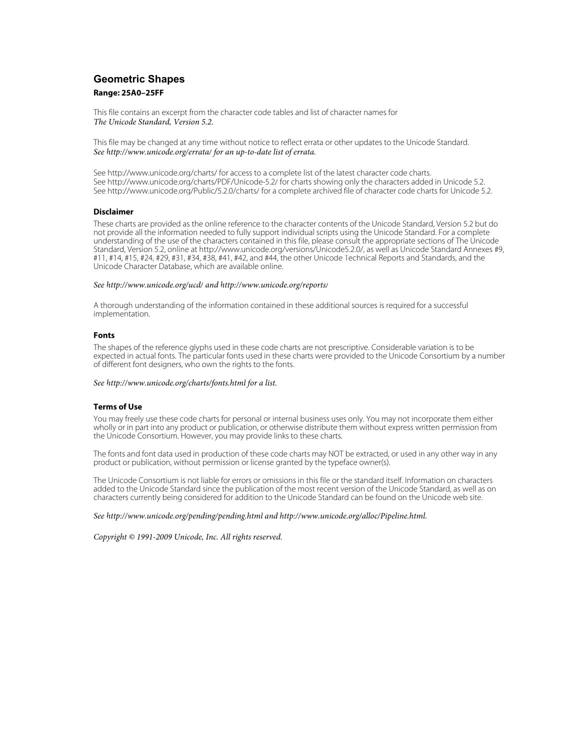# **Geometric Shapes**

### **Range: 25A0–25FF**

This file contains an excerpt from the character code tables and list of character names for The Unicode Standard, Version 5.2.

This file may be changed at any time without notice to reflect errata or other updates to the Unicode Standard. See<http://www.unicode.org/errata/>for an up-to-date list of errata.

See <http://www.unicode.org/charts/> for access to a complete list of the latest character code charts. See <http://www.unicode.org/charts/PDF/Unicode-5.2/>for charts showing only the characters added in Unicode 5.2. See <http://www.unicode.org/Public/5.2.0/charts/> for a complete archived file of character code charts for Unicode 5.2.

#### **Disclaimer**

These charts are provided as the online reference to the character contents of the Unicode Standard, Version 5.2 but do not provide all the information needed to fully support individual scripts using the Unicode Standard. For a complete understanding of the use of the characters contained in this file, please consult the appropriate sections of The Unicode Standard, Version 5.2, online at [http://www.unicode.org/versions/Unicode5.2.0/,](http://www.unicode.org/versions/Unicode5.2.0/) as well as Unicode Standard Annexes #9, #11, #14, #15, #24, #29, #31, #34, #38, #41, #42, and #44, the other Unicode Technical Reports and Standards, and the Unicode Character Database, which are available online.

#### See<http://www.unicode.org/ucd/>and <http://www.unicode.org/reports/>

A thorough understanding of the information contained in these additional sources is required for a successful implementation.

#### **Fonts**

The shapes of the reference glyphs used in these code charts are not prescriptive. Considerable variation is to be expected in actual fonts. The particular fonts used in these charts were provided to the Unicode Consortium by a number of different font designers, who own the rights to the fonts.

#### See<http://www.unicode.org/charts/fonts.html>for a list.

#### **Terms of Use**

You may freely use these code charts for personal or internal business uses only. You may not incorporate them either wholly or in part into any product or publication, or otherwise distribute them without express written permission from the Unicode Consortium. However, you may provide links to these charts.

The fonts and font data used in production of these code charts may NOT be extracted, or used in any other way in any product or publication, without permission or license granted by the typeface owner(s).

The Unicode Consortium is not liable for errors or omissions in this file or the standard itself. Information on characters added to the Unicode Standard since the publication of the most recent version of the Unicode Standard, as well as on characters currently being considered for addition to the Unicode Standard can be found on the Unicode web site.

#### See<http://www.unicode.org/pending/pending.html> and [http://www.unicode.org/alloc/Pipeline.html.](http://www.unicode.org/alloc/Pipeline.html)

Copyright © 1991-2009 Unicode, Inc. All rights reserved.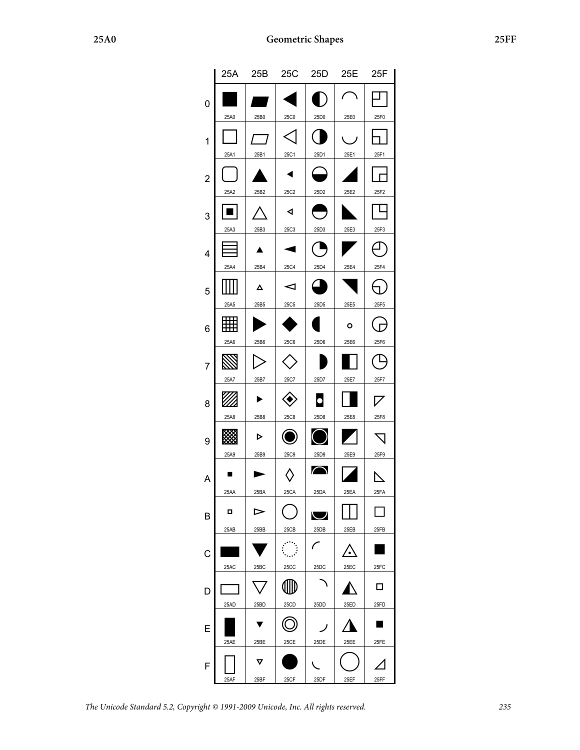|                | 25A       | 25B       | 25C                                 | 25D                | 25E       | 25F                  |
|----------------|-----------|-----------|-------------------------------------|--------------------|-----------|----------------------|
| 0              | 25A0      | 25B0      | 25C0                                | 25D0               | 25E0      | 25F0                 |
| 1              | 25A1      | 25B1      | 25C1                                | 25D1               | 25E1      | 25F1                 |
| $\overline{2}$ | 25A2      | 25B2      | 25C2                                | 25D <sub>2</sub>   | 25E2      | 25F2                 |
| 3              | 25A3      | 25B3      | ◀<br>25C3                           | 25D3               | 25E3      | 25F3                 |
| 4              | 25A4      | 25B4      | 25C4                                | 25D4               | 25E4      | 25F4                 |
| 5              |           | Δ         | ⊲                                   |                    |           |                      |
| 6              | 25A5<br>亜 | 25B5      | <b>25C5</b>                         | 25D <sub>5</sub>   | 25E5<br>o | 25F5                 |
| 7              | 25A6      | 25B6      | <b>25C6</b>                         | 25D6               | 25E6      | 25F6                 |
| 8              | 25A7      | 25B7      | 25C7                                | 25D7               | 25E7      | 25F7                 |
| 9              | 25A8      | 25B8<br>▷ | 25C8                                | 25D8               | 25E8      | 25F8                 |
| Α              | 25A9      | 25B9      | <b>25C9</b>                         | 25D9<br>$\bigcap$  | 25E9      | 25F9                 |
| В              | 25AA<br>o | 25BA<br>⊳ | 25CA                                | 25DA<br>◡          | 25EA      | 25FA<br>$\mathbf{I}$ |
| C              | 25AB      | 25BB      | 25CB<br>$\mathcal{L}^{\mathcal{L}}$ | 25DB<br>$\sqrt{2}$ | 25EB      | 25FB                 |
| D              | 25AC      | 25BC      | 25CC                                | 25DC               | 25EC      | 25FC<br>П            |
|                | 25AD      | 25BD      | 25CD                                | 25DD               | 25ED      | 25FD<br>▛            |
| E              | 25AE      | 25BE      | 25CE                                | ノ<br>25DE          | 25EE      | 25FE                 |
| F              | 25AF      | ▽<br>25BF | 25CF                                | 25DF               | 25EF      | 25FF                 |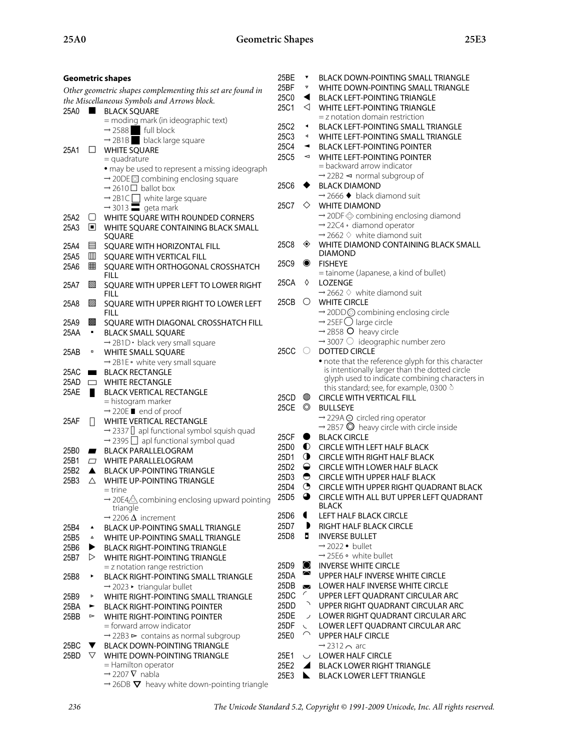|      | <b>Geometric shapes</b>                                    |                                                                                     |                   |                          | <b>BLACK DOWN-POINTING SMALL TRIANGLE</b>                                                         |
|------|------------------------------------------------------------|-------------------------------------------------------------------------------------|-------------------|--------------------------|---------------------------------------------------------------------------------------------------|
|      | Other geometric shapes complementing this set are found in |                                                                                     |                   |                          | WHITE DOWN-POINTING SMALL TRIANGLE                                                                |
|      | the Miscellaneous Symbols and Arrows block.                |                                                                                     |                   | ◀                        | <b>BLACK LEFT-POINTING TRIANGLE</b>                                                               |
|      |                                                            | 25A0 BLACK SQUARE                                                                   | 25C1              | ◁                        | WHITE LEFT-POINTING TRIANGLE                                                                      |
|      |                                                            | = moding mark (in ideographic text)                                                 |                   |                          | $=$ z notation domain restriction                                                                 |
|      |                                                            | $\rightarrow$ 2588 full block                                                       | 25C2              | $\blacktriangleleft$     | BLACK LEFT-POINTING SMALL TRIANGLE                                                                |
|      |                                                            | $\rightarrow$ 2B1B black large square                                               | 25C3              | ◀                        | WHITE LEFT-POINTING SMALL TRIANGLE                                                                |
| 25A1 | $\Box$                                                     | <b>WHITE SQUARE</b>                                                                 | 25C4              | $\blacktriangleleft$     | <b>BLACK LEFT-POINTING POINTER</b>                                                                |
|      |                                                            | $=$ quadrature                                                                      | 25C5              | $\blacktriangleleft$     | <b>WHITE LEFT-POINTING POINTER</b>                                                                |
|      |                                                            | • may be used to represent a missing ideograph                                      |                   |                          | = backward arrow indicator                                                                        |
|      |                                                            | $\rightarrow$ 20DE o combining enclosing square                                     |                   |                          | $\rightarrow$ 22B2 < normal subgroup of                                                           |
|      |                                                            | $\rightarrow$ 2610 $\Box$ ballot box                                                | 25C6              |                          | <b>BLACK DIAMOND</b>                                                                              |
|      |                                                            | $\rightarrow$ 2B1C $\Box$ white large square<br>$\rightarrow$ 3013 $\Box$ geta mark | 25C7              | $\Diamond$               | $\rightarrow$ 2666 $\blacklozenge$ black diamond suit<br><b>WHITE DIAMOND</b>                     |
|      |                                                            |                                                                                     |                   |                          |                                                                                                   |
| 25A2 | U                                                          | WHITE SQUARE WITH ROUNDED CORNERS                                                   |                   |                          | $\rightarrow$ 20DF $\otimes$ combining enclosing diamond<br>$\rightarrow$ 22C4 · diamond operator |
| 25A3 | $\Box$                                                     | WHITE SQUARE CONTAINING BLACK SMALL                                                 |                   |                          | $\rightarrow$ 2662 $\Diamond$ white diamond suit                                                  |
|      |                                                            | SQUARE                                                                              | 25C8              | ◈                        | WHITE DIAMOND CONTAINING BLACK SMALL                                                              |
| 25A4 | 目                                                          | SQUARE WITH HORIZONTAL FILL                                                         |                   |                          | <b>DIAMOND</b>                                                                                    |
| 25A5 | ▥<br>用                                                     | SQUARE WITH VERTICAL FILL                                                           | 25C9              | $\bullet$                | <b>FISHEYE</b>                                                                                    |
| 25A6 |                                                            | SQUARE WITH ORTHOGONAL CROSSHATCH<br><b>FILL</b>                                    |                   |                          | = tainome (Japanese, a kind of bullet)                                                            |
| 25A7 | Z                                                          | SQUARE WITH UPPER LEFT TO LOWER RIGHT                                               | 25CA              | ♦                        | <b>LOZENGE</b>                                                                                    |
|      |                                                            | <b>FILL</b>                                                                         |                   |                          | $\rightarrow$ 2662 $\Diamond$ white diamond suit                                                  |
| 25A8 | ▨                                                          | SQUARE WITH UPPER RIGHT TO LOWER LEFT                                               | 25 $CB$ $\circ$   |                          | <b>WHITE CIRCLE</b>                                                                               |
|      |                                                            | <b>FILL</b>                                                                         |                   |                          | → 20DD © combining enclosing circle                                                               |
| 25A9 | ▩                                                          | SQUARE WITH DIAGONAL CROSSHATCH FILL                                                |                   |                          | $\rightarrow$ 25EF $\bigcirc$ large circle                                                        |
| 25AA | $\blacksquare$                                             | <b>BLACK SMALL SQUARE</b>                                                           |                   |                          | $\rightarrow$ 2B58 O heavy circle                                                                 |
|      |                                                            | $\rightarrow$ 2B1D · black very small square                                        |                   |                          | $\rightarrow$ 3007 $\circlearrowright$ ideographic number zero                                    |
| 25AB | $\blacksquare$                                             | WHITE SMALL SQUARE                                                                  | $25CC$ $\bigcirc$ |                          | <b>DOTTED CIRCLE</b>                                                                              |
|      |                                                            | $\rightarrow$ 2B1E • white very small square                                        |                   |                          | • note that the reference glyph for this character                                                |
| 25AC | $\mathcal{L}$                                              | <b>BLACK RECTANGLE</b>                                                              |                   |                          | is intentionally larger than the dotted circle                                                    |
| 25AD | $\Box$                                                     | <b>WHITE RECTANGLE</b>                                                              |                   |                          | glyph used to indicate combining characters in                                                    |
| 25AE |                                                            | <b>BLACK VERTICAL RECTANGLE</b>                                                     |                   |                          | this standard; see, for example, 0300 $\circ$                                                     |
|      |                                                            | = histogram marker                                                                  | 25CD              | ◍                        | <b>CIRCLE WITH VERTICAL FILL</b>                                                                  |
|      |                                                            | $\rightarrow$ 220E <b>n</b> end of proof                                            | 25CE ©            |                          | <b>BULLSEYE</b>                                                                                   |
| 25AF | П                                                          | WHITE VERTICAL RECTANGLE                                                            |                   |                          | → 229A ⊙ circled ring operator                                                                    |
|      |                                                            | $\rightarrow$ 2337 $\Box$ apl functional symbol squish quad                         | 25CF $\bullet$    |                          | $\rightarrow$ 2B57 $\odot$ heavy circle with circle inside<br><b>BLACK CIRCLE</b>                 |
|      |                                                            | $\rightarrow$ 2395 $\Box$ apl functional symbol quad                                |                   |                          | 25D0 CIRCLE WITH LEFT HALF BLACK                                                                  |
| 25B0 | $\blacksquare$                                             | <b>BLACK PARALLELOGRAM</b>                                                          | 25D1              | $\mathbf 0$              | <b>CIRCLE WITH RIGHT HALF BLACK</b>                                                               |
| 25B1 | $\Box$                                                     | <b>WHITE PARALLELOGRAM</b>                                                          | 25D <sub>2</sub>  | $\bullet$                | CIRCLE WITH LOWER HALF BLACK                                                                      |
| 25B2 | $\blacktriangle$                                           | <b>BLACK UP-POINTING TRIANGLE</b>                                                   | 25D3              | $\bullet$                | CIRCLE WITH UPPER HALF BLACK                                                                      |
| 25B3 | $\triangle$                                                | <b>WHITE UP-POINTING TRIANGLE</b>                                                   | 25D4              | $\odot$                  | CIRCLE WITH UPPER RIGHT QUADRANT BLACK                                                            |
|      |                                                            | = trine                                                                             | 25D5              | $\bullet$                | CIRCLE WITH ALL BUT UPPER LEFT QUADRANT                                                           |
|      |                                                            | $\rightarrow$ 20E4 $\triangle$ combining enclosing upward pointing                  |                   |                          | <b>BLACK</b>                                                                                      |
|      |                                                            | triangle<br>$\rightarrow$ 2206 $\Delta$ increment                                   | 25D6              | $\blacksquare$           | LEFT HALF BLACK CIRCLE                                                                            |
| 25B4 | $\blacktriangle$                                           | BLACK UP-POINTING SMALL TRIANGLE                                                    | 25D7              | $\mathbf{D}$             | RIGHT HALF BLACK CIRCLE                                                                           |
| 25B5 | $\blacktriangle$                                           | WHITE UP-POINTING SMALL TRIANGLE                                                    | 25D8              | п                        | <b>INVERSE BULLET</b>                                                                             |
| 25B6 | ▶                                                          | <b>BLACK RIGHT-POINTING TRIANGLE</b>                                                |                   |                          | $\rightarrow$ 2022 • bullet                                                                       |
| 25B7 | ▷                                                          | <b>WHITE RIGHT-POINTING TRIANGLE</b>                                                |                   |                          | $\rightarrow$ 25E6 $\circ$ white bullet                                                           |
|      |                                                            | = z notation range restriction                                                      | 25D9              | $\bigcirc$               | <b>INVERSE WHITE CIRCLE</b>                                                                       |
| 25B8 | ٠                                                          | BLACK RIGHT-POINTING SMALL TRIANGLE                                                 | 25DA              | $\cap$                   | UPPER HALF INVERSE WHITE CIRCLE                                                                   |
|      |                                                            | $\rightarrow$ 2023 • triangular bullet                                              | 25DB              | $\overline{\smile}$      | <b>LOWER HALF INVERSE WHITE CIRCLE</b>                                                            |
| 25B9 | Þ                                                          | WHITE RIGHT-POINTING SMALL TRIANGLE                                                 | 25DC              | C                        | UPPER LEFT QUADRANT CIRCULAR ARC                                                                  |
| 25BA | ►                                                          | <b>BLACK RIGHT-POINTING POINTER</b>                                                 | 25DD              | ↗                        | UPPER RIGHT QUADRANT CIRCULAR ARC                                                                 |
| 25BB | $\triangleright$                                           | <b>WHITE RIGHT-POINTING POINTER</b>                                                 | 25DE              | $\overline{\phantom{a}}$ | LOWER RIGHT QUADRANT CIRCULAR ARC                                                                 |
|      |                                                            | = forward arrow indicator                                                           | 25DF              | $\sqrt{2}$               | LOWER LEFT QUADRANT CIRCULAR ARC                                                                  |
|      |                                                            | $\rightarrow$ 22B3 $\triangleright$ contains as normal subgroup                     | 25E0              | $\curvearrowright$       | <b>UPPER HALF CIRCLE</b>                                                                          |
| 25BC | <b>V</b>                                                   | <b>BLACK DOWN-POINTING TRIANGLE</b>                                                 |                   |                          | $\rightarrow$ 2312 $\sim$ arc                                                                     |
| 25BD | $\nabla$                                                   | WHITE DOWN-POINTING TRIANGLE                                                        | 25E1              | $\smile$                 | <b>LOWER HALF CIRCLE</b>                                                                          |
|      |                                                            | = Hamilton operator                                                                 | 25E2              | $\overline{\phantom{a}}$ | <b>BLACK LOWER RIGHT TRIANGLE</b>                                                                 |
|      |                                                            | $\rightarrow$ 2207 $\nabla$ nabla                                                   | 25E3              |                          | <b>BLACK LOWER LEFT TRIANGLE</b>                                                                  |
|      |                                                            | $\rightarrow$ 26DB $\nabla$ heavy white down-pointing triangle                      |                   |                          |                                                                                                   |